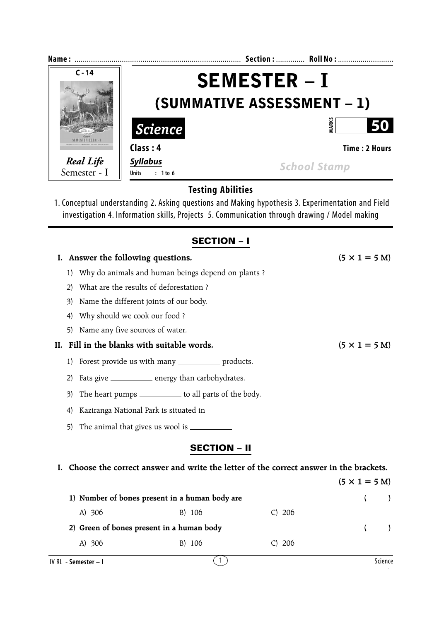| Name:                                                          |                                                          | Section:  Roll No:  |  |  |  |
|----------------------------------------------------------------|----------------------------------------------------------|---------------------|--|--|--|
| $C - 14$                                                       | <b>SEMESTER – I</b><br><b>(SUMMATIVE ASSESSMENT – 1)</b> |                     |  |  |  |
|                                                                | <b>Science</b>                                           | ARK:                |  |  |  |
| <b>EMESTER ROOK.</b><br>Mathematics . Science . Social Studies | Class: 4                                                 | Time: 2 Hours       |  |  |  |
| Real Life<br>Semester - I                                      | <b>Syllabus</b><br>Units : 1 to 6                        | <b>School Stamp</b> |  |  |  |
|                                                                | <b>Testing Abilities</b>                                 |                     |  |  |  |

1. Conceptual understanding 2. Asking questions and Making hypothesis 3. Experimentation and Field investigation 4. Information skills, Projects 5. Communication through drawing / Model making

## **SECTION – I**

|     |                                                                        | Answer the following questions.                                                       | $(5 \times 1 = 5 M)$         |  |  |  |
|-----|------------------------------------------------------------------------|---------------------------------------------------------------------------------------|------------------------------|--|--|--|
|     | Why do animals and human beings depend on plants?<br>1)                |                                                                                       |                              |  |  |  |
|     | 2)                                                                     | What are the results of deforestation?                                                |                              |  |  |  |
|     | 3)                                                                     | Name the different joints of our body.                                                |                              |  |  |  |
|     | $\left(4\right)$                                                       | Why should we cook our food ?                                                         |                              |  |  |  |
|     | 5)                                                                     | Name any five sources of water.                                                       |                              |  |  |  |
| II. |                                                                        | Fill in the blanks with suitable words.                                               | $(5 \times 1 = 5 \text{ M})$ |  |  |  |
|     | 1)                                                                     | Forest provide us with many _____________ products.                                   |                              |  |  |  |
|     | Fats give _______________ energy than carbohydrates.<br>2)             |                                                                                       |                              |  |  |  |
|     | The heart pumps _____________ to all parts of the body.<br>3)          |                                                                                       |                              |  |  |  |
|     | Kaziranga National Park is situated in ___________<br>$\left(4\right)$ |                                                                                       |                              |  |  |  |
|     | 5)                                                                     |                                                                                       |                              |  |  |  |
|     |                                                                        | <b>SECTION - II</b>                                                                   |                              |  |  |  |
| L.  |                                                                        | Choose the correct answer and write the letter of the correct answer in the brackets. |                              |  |  |  |
|     |                                                                        |                                                                                       | $(5 \times 1 = 5 M)$         |  |  |  |
|     |                                                                        | 1) Number of bones present in a human body are                                        | (                            |  |  |  |
|     |                                                                        | A) 306<br>B) 106<br>C) 206                                                            |                              |  |  |  |
|     |                                                                        | 2) Green of bones present in a human body                                             | (                            |  |  |  |
|     |                                                                        | A) 306<br>B) 106<br>C) 206                                                            |                              |  |  |  |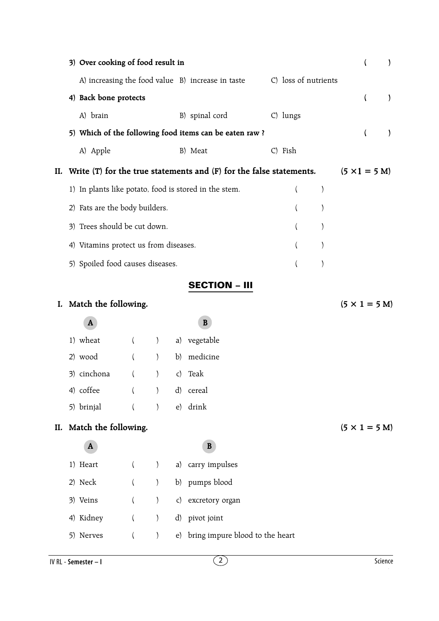|     | 3) Over cooking of food result in     |          |                  |                                                                         |                          |                  |                              | (                        | $\mathcal{E}$ |
|-----|---------------------------------------|----------|------------------|-------------------------------------------------------------------------|--------------------------|------------------|------------------------------|--------------------------|---------------|
|     |                                       |          |                  | A) increasing the food value B) increase in taste C) loss of nutrients  |                          |                  |                              |                          |               |
|     | 4) Back bone protects                 |          |                  |                                                                         |                          |                  |                              | $\overline{\phantom{a}}$ | $\mathcal{E}$ |
|     | A) brain                              |          |                  | B) spinal cord                                                          | $C$ ) lungs              |                  |                              |                          |               |
|     |                                       |          |                  | 5) Which of the following food items can be eaten raw?                  |                          |                  |                              | (                        | $\mathcal{E}$ |
|     | A) Apple                              |          |                  | B) Meat                                                                 | C) Fish                  |                  |                              |                          |               |
| II. |                                       |          |                  | Write $(T)$ for the true statements and $(F)$ for the false statements. |                          |                  | $(5 \times 1 = 5 \text{ M})$ |                          |               |
|     |                                       |          |                  | 1) In plants like potato, food is stored in the stem.                   | $\overline{\phantom{a}}$ | $\left( \right)$ |                              |                          |               |
|     | 2) Fats are the body builders.        |          |                  |                                                                         | $\overline{(}$           | ∖                |                              |                          |               |
|     | 3) Trees should be cut down.          |          |                  |                                                                         |                          |                  |                              |                          |               |
|     | 4) Vitamins protect us from diseases. |          |                  |                                                                         |                          |                  |                              |                          |               |
|     | 5) Spoiled food causes diseases.      |          |                  |                                                                         |                          | $\mathcal{E}$    |                              |                          |               |
|     |                                       |          |                  | <b>SECTION - III</b>                                                    |                          |                  |                              |                          |               |
|     | I. Match the following.               |          |                  |                                                                         |                          |                  | $(5 \times 1 = 5$ M)         |                          |               |
|     | A                                     |          |                  | B                                                                       |                          |                  |                              |                          |               |
|     | 1) wheat                              | $\left($ | $\left( \right)$ | a) vegetable                                                            |                          |                  |                              |                          |               |
|     | 2) wood                               |          | $\left( \right)$ | b) medicine                                                             |                          |                  |                              |                          |               |
|     | 3) cinchona                           | $\left($ | $\left( \right)$ | c) Teak                                                                 |                          |                  |                              |                          |               |
|     | 4) coffee                             |          | $\mathcal{E}$    | d) cereal                                                               |                          |                  |                              |                          |               |
|     | 5) brinjal                            | $\left($ | $\mathcal{E}$    | e) drink                                                                |                          |                  |                              |                          |               |
|     | II. Match the following.              |          |                  |                                                                         |                          |                  | $(5 \times 1 = 5 M)$         |                          |               |
|     | A                                     |          |                  | B                                                                       |                          |                  |                              |                          |               |
|     | 1) Heart                              | $\left($ | $\left( \right)$ | a) carry impulses                                                       |                          |                  |                              |                          |               |
|     | 2) Neck                               | $\left($ | $\mathcal{E}$    | b) pumps blood                                                          |                          |                  |                              |                          |               |
|     | 3) Veins                              | $\left($ | $\left( \right)$ | c) excretory organ                                                      |                          |                  |                              |                          |               |
|     | 4) Kidney                             | $\left($ | $\left( \right)$ | d) pivot joint                                                          |                          |                  |                              |                          |               |
|     | 5) Nerves                             | $\left($ | $\left( \right)$ | e) bring impure blood to the heart                                      |                          |                  |                              |                          |               |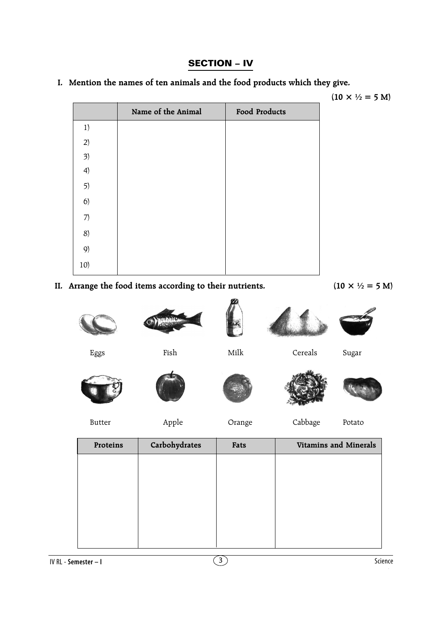## **SECTION – IV**

**I. Mention the names of ten animals and the food products which they give.**

 $(10 \times \frac{1}{2}) = 5$  M)

|     | Name of the Animal | Food Products |
|-----|--------------------|---------------|
| 1)  |                    |               |
| 2)  |                    |               |
| 3)  |                    |               |
| 4)  |                    |               |
| 5)  |                    |               |
| 6)  |                    |               |
| 7)  |                    |               |
| 8)  |                    |               |
| 9)  |                    |               |
| 10) |                    |               |

**II.** Arrange the food items according to their nutrients.  $(10 \times \frac{1}{2}) = 5 \text{ M}$ 



| Proteins | Carbohydrates | Fats | <b>Vitamins and Minerals</b> |
|----------|---------------|------|------------------------------|
|          |               |      |                              |
|          |               |      |                              |
|          |               |      |                              |
|          |               |      |                              |
|          |               |      |                              |